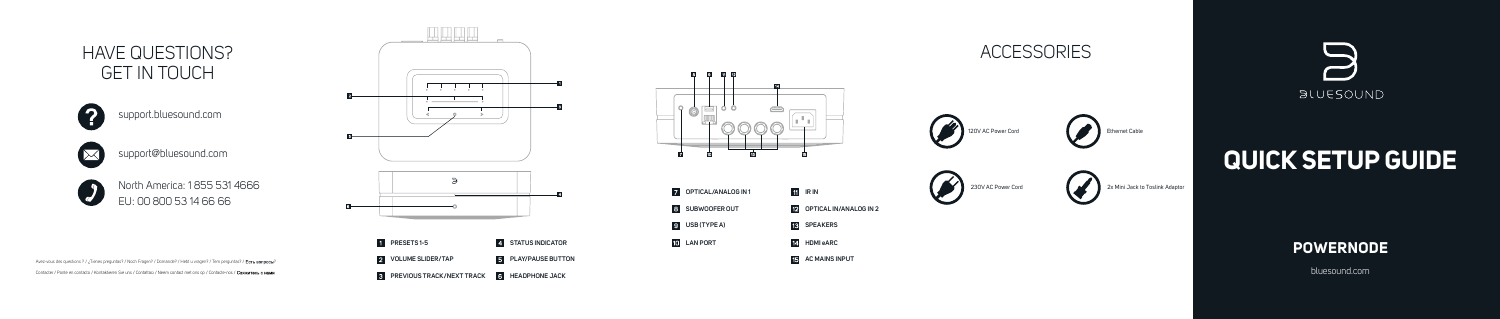bluesound.com

#### **POWERNODE**

# **QUICK SETUP GUIDE**

2x Mini Jack to Toslink Adaptor











### **ACCESSORIES**





### HAVE QUESTIONS? GET IN TOUCH



#### support.bluesound.com



support@bluesound.com



North America: 1 855 531 4666 EU: 00 800 53 14 66 66

Avez-vous des questions ? / ¿Tienes preguntas? / Noch Fragen? / Domande? / Hebt u vragen? / Tem perguntas? / Есть вопросы? Contacter / Ponte en contacto / Kontaktieren Sie uns / Contattaci / Neem contact met ons op / Contacte-nos /